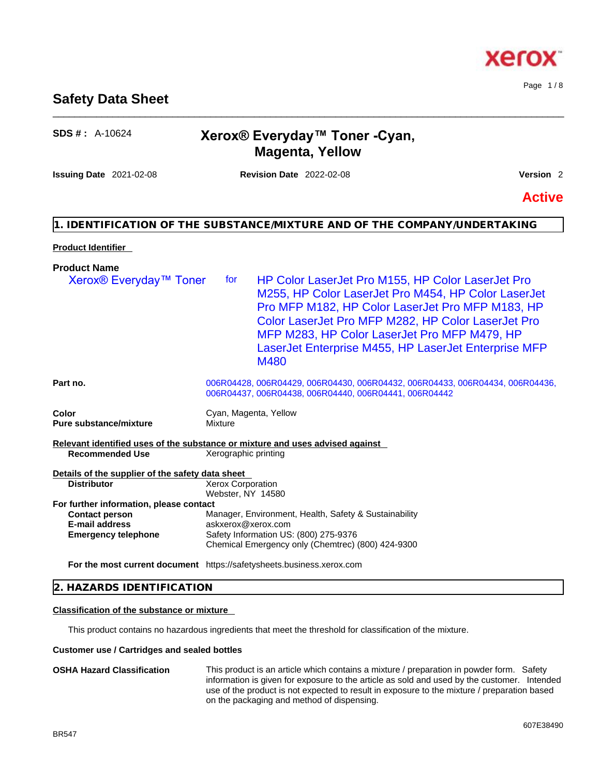## **Safety Data Sheet**

## **SDS # :** A-10624 **Xerox® Everyday™ Toner -Cyan, Magenta, Yellow**

\_\_\_\_\_\_\_\_\_\_\_\_\_\_\_\_\_\_\_\_\_\_\_\_\_\_\_\_\_\_\_\_\_\_\_\_\_\_\_\_\_\_\_\_\_\_\_\_\_\_\_\_\_\_\_\_\_\_\_\_\_\_\_\_\_\_\_\_\_\_\_\_\_\_\_\_\_\_\_\_\_\_\_\_\_\_\_\_\_\_\_\_\_\_

**Issuing Date** 2021-02-08 **Revision Date** 2022-02-08 **Version** 2

**Active**

## **1. IDENTIFICATION OF THE SUBSTANCE/MIXTURE AND OF THE COMPANY/UNDERTAKING**

## **Product Identifier**

| <b>Product Name</b>                                                          |                                                                                                                                                                                                                                                                                                                                                  |  |
|------------------------------------------------------------------------------|--------------------------------------------------------------------------------------------------------------------------------------------------------------------------------------------------------------------------------------------------------------------------------------------------------------------------------------------------|--|
| Xerox <sup>®</sup> Everyday <sup>™</sup> Toner                               | HP Color LaserJet Pro M155, HP Color LaserJet Pro<br>for<br>M255, HP Color LaserJet Pro M454, HP Color LaserJet<br>Pro MFP M182, HP Color LaserJet Pro MFP M183, HP<br>Color LaserJet Pro MFP M282, HP Color LaserJet Pro<br>MFP M283, HP Color LaserJet Pro MFP M479, HP<br>LaserJet Enterprise M455, HP LaserJet Enterprise MFP<br><b>M480</b> |  |
| Part no.                                                                     | 006R04428, 006R04429, 006R04430, 006R04432, 006R04433, 006R04434, 006R04436,<br>006R04437, 006R04438, 006R04440, 006R04441, 006R04442                                                                                                                                                                                                            |  |
| Color<br><b>Pure substance/mixture</b>                                       | Cyan, Magenta, Yellow<br>Mixture                                                                                                                                                                                                                                                                                                                 |  |
| <b>Recommended Use</b>                                                       | Relevant identified uses of the substance or mixture and uses advised against<br>Xerographic printing                                                                                                                                                                                                                                            |  |
| Details of the supplier of the safety data sheet                             |                                                                                                                                                                                                                                                                                                                                                  |  |
| <b>Distributor</b>                                                           | <b>Xerox Corporation</b><br>Webster, NY 14580                                                                                                                                                                                                                                                                                                    |  |
| For further information, please contact                                      |                                                                                                                                                                                                                                                                                                                                                  |  |
| <b>Contact person</b><br><b>E-mail address</b><br><b>Emergency telephone</b> | Manager, Environment, Health, Safety & Sustainability<br>askxerox@xerox.com<br>Safety Information US: (800) 275-9376<br>Chemical Emergency only (Chemtrec) (800) 424-9300                                                                                                                                                                        |  |
|                                                                              | For the most current document https://safetysheets.business.xerox.com                                                                                                                                                                                                                                                                            |  |
|                                                                              |                                                                                                                                                                                                                                                                                                                                                  |  |

## **2. HAZARDS IDENTIFICATION**

## **Classification of the substance or mixture**

This product contains no hazardous ingredients that meet the threshold for classification of the mixture.

## **Customer use / Cartridges and sealed bottles**

**OSHA Hazard Classification** This product is an article which contains a mixture / preparation in powder form. Safety information is given for exposure to the article as sold and used by the customer. Intended use of the product is not expected to result in exposure to the mixture / preparation based on the packaging and method of dispensing.

Page 1 / 8

xero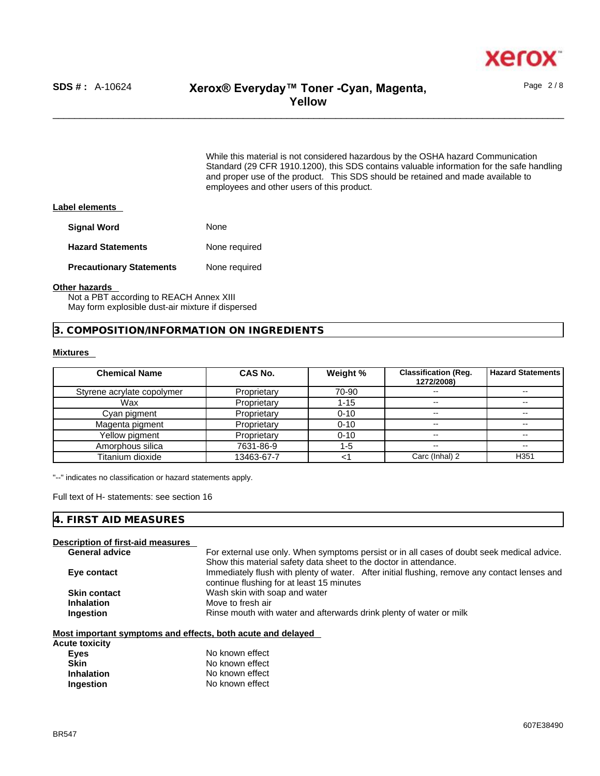

Page 2 / 8

While this material is not considered hazardous by the OSHA hazard Communication Standard (29 CFR 1910.1200), this SDS contains valuable information for the safe handling and proper use of the product. This SDS should be retained and made available to employees and other users of this product.

#### **Label elements**

| <b>Signal Word</b>              | None          |
|---------------------------------|---------------|
| <b>Hazard Statements</b>        | None required |
| <b>Precautionary Statements</b> | None required |

#### **Other hazards**

Not a PBT according to REACH Annex XIII May form explosible dust-air mixture if dispersed

**3. COMPOSITION/INFORMATION ON INGREDIENTS** 

## **Mixtures**

| <b>Chemical Name</b>       | CAS No.     | Weight % | <b>Classification (Reg.</b><br>1272/2008) | <b>Hazard Statements</b> |
|----------------------------|-------------|----------|-------------------------------------------|--------------------------|
| Styrene acrylate copolymer | Proprietary | 70-90    |                                           |                          |
| Wax                        | Proprietary | $1 - 15$ | $- -$                                     | $\sim$ $\sim$            |
| Cyan pigment               | Proprietary | $0 - 10$ | --                                        | --                       |
| Magenta pigment            | Proprietary | $0 - 10$ | $\overline{\phantom{m}}$                  | --                       |
| Yellow pigment             | Proprietary | $0 - 10$ | --                                        |                          |
| Amorphous silica           | 7631-86-9   | $1 - 5$  | $- -$                                     | --                       |
| Titanium dioxide           | 13463-67-7  |          | Carc (Inhal) 2                            | H <sub>351</sub>         |

"--" indicates no classification or hazard statements apply.

Full text of H- statements: see section 16

## **4. FIRST AID MEASURES**

## **Description of first-aid measures**

| <b>General advice</b> | For external use only. When symptoms persist or in all cases of doubt seek medical advice.    |
|-----------------------|-----------------------------------------------------------------------------------------------|
|                       | Show this material safety data sheet to the doctor in attendance.                             |
| Eye contact           | Immediately flush with plenty of water. After initial flushing, remove any contact lenses and |
|                       | continue flushing for at least 15 minutes                                                     |
| <b>Skin contact</b>   | Wash skin with soap and water                                                                 |
| <b>Inhalation</b>     | Move to fresh air                                                                             |
| Ingestion             | Rinse mouth with water and afterwards drink plenty of water or milk                           |
|                       |                                                                                               |

#### **Most important symptoms and effects, both acute and delayed**

| Acute toxicity    |                 |
|-------------------|-----------------|
| <b>Eves</b>       | No known effect |
| Skin              | No known effect |
| <b>Inhalation</b> | No known effect |
| Ingestion         | No known effect |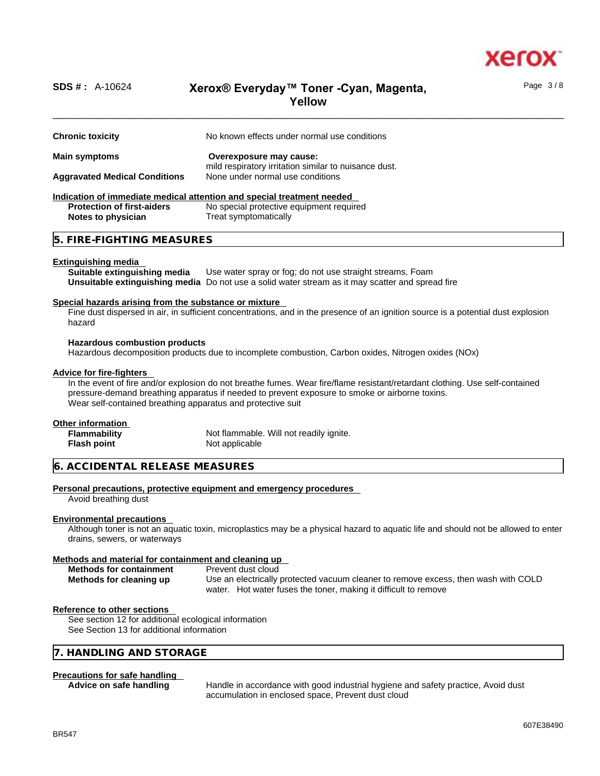

Page 3 / 8

## \_\_\_\_\_\_\_\_\_\_\_\_\_\_\_\_\_\_\_\_\_\_\_\_\_\_\_\_\_\_\_\_\_\_\_\_\_\_\_\_\_\_\_\_\_\_\_\_\_\_\_\_\_\_\_\_\_\_\_\_\_\_\_\_\_\_\_\_\_\_\_\_\_\_\_\_\_\_\_\_\_\_\_\_\_\_\_\_\_\_\_\_\_\_ **SDS # :** A-10624 **Xerox® Everyday™ Toner -Cyan, Magenta, Yellow**

| <b>Chronic toxicity</b>                                                | No known effects under normal use conditions                                                     |
|------------------------------------------------------------------------|--------------------------------------------------------------------------------------------------|
|                                                                        |                                                                                                  |
| <b>Main symptoms</b>                                                   | Overexposure may cause:<br>mild respiratory irritation similar to nuisance dust.                 |
| <b>Aggravated Medical Conditions</b>                                   | None under normal use conditions                                                                 |
| Indication of immediate medical attention and special treatment needed |                                                                                                  |
| <b>Protection of first-aiders</b>                                      | No special protective equipment required                                                         |
| Notes to physician                                                     | Treat symptomatically                                                                            |
| 5. FIRE-FIGHTING MEASURES                                              |                                                                                                  |
| Extinguishing media                                                    |                                                                                                  |
| Suitable extinguishing media                                           | Use water spray or fog; do not use straight streams, Foam                                        |
|                                                                        | Unsuitable extinguishing media Do not use a solid water stream as it may scatter and spread fire |
| Special hazards arising from the substance or mixture                  |                                                                                                  |

Fine dust dispersed in air, in sufficient concentrations, and in the presence of an ignition source is a potential dust explosion hazard

#### **Hazardous combustion products**

Hazardous decomposition products due to incomplete combustion, Carbon oxides, Nitrogen oxides (NOx)

#### **Advice for fire-fighters**

In the event of fire and/or explosion do not breathe fumes. Wear fire/flame resistant/retardant clothing. Use self-contained pressure-demand breathing apparatus if needed to prevent exposure to smoke or airborne toxins. Wear self-contained breathing apparatus and protective suit

## **Other information**

| <b>Flammability</b> | Not flammable. Will not readily ignite. |
|---------------------|-----------------------------------------|
| <b>Flash point</b>  | Not applicable                          |

## **6. ACCIDENTAL RELEASE MEASURES**

#### **Personal precautions, protective equipment and emergency procedures**

Avoid breathing dust

#### **Environmental precautions**

Although toner is not an aquatic toxin, microplastics may be a physical hazard to aquatic life and should not be allowed to enter drains, sewers, or waterways

#### **Methods and material for containment and cleaning up**

| <b>Methods for containment</b> |  |
|--------------------------------|--|
| Methods for cleaning up        |  |

**Prevent dust cloud Methods for cleaning up** Use an electrically protected vacuum cleaner to remove excess, then wash with COLD water. Hot water fuses the toner, making it difficult to remove

#### **Reference to other sections**

See section 12 for additional ecological information See Section 13 for additional information

## **7. HANDLING AND STORAGE**

#### **Precautions for safe handling**

**Advice on safe handling** Handle in accordance with good industrial hygiene and safety practice, Avoid dust accumulation in enclosed space, Prevent dust cloud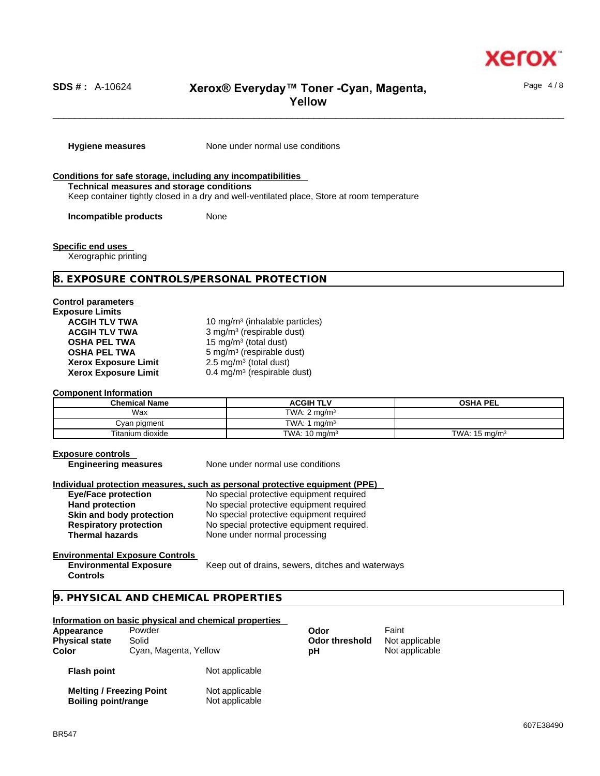

Page 4 / 8

## \_\_\_\_\_\_\_\_\_\_\_\_\_\_\_\_\_\_\_\_\_\_\_\_\_\_\_\_\_\_\_\_\_\_\_\_\_\_\_\_\_\_\_\_\_\_\_\_\_\_\_\_\_\_\_\_\_\_\_\_\_\_\_\_\_\_\_\_\_\_\_\_\_\_\_\_\_\_\_\_\_\_\_\_\_\_\_\_\_\_\_\_\_\_ **SDS # :** A-10624 **Xerox® Everyday™ Toner -Cyan, Magenta, Yellow**

**Hygiene measures** None under normal use conditions

#### **Conditions for safe storage, including any incompatibilities Technical measures and storage conditions** Keep container tightly closed in a dry and well-ventilated place, Store at room temperature

**Incompatible products** None

**Specific end uses** 

Xerographic printing

## **8. EXPOSURE CONTROLS/PERSONAL PROTECTION**

## **Control parameters**

| <b>Exposure Limits</b>      |                |
|-----------------------------|----------------|
| <b>ACGIH TLV TWA</b>        | 10             |
| <b>ACGIH TLV TWA</b>        | $\mathbf{3}$   |
| <b>OSHA PEL TWA</b>         | 15             |
| <b>OSHA PEL TWA</b>         | 5 <sub>1</sub> |
| <b>Xerox Exposure Limit</b> | 2.             |
| <b>Xerox Exposure Limit</b> | 0.             |

ACGIH TLV TWA **10 mg/m<sup>3</sup> (inhalable particles) ACGIH TLV TWA** 3 mg/m<sup>3</sup> (respirable dust) **OSHA PEL TWA** 15 mg/m<sup>3</sup> (total dust) **OSHA PEL TWA** 5 mg/m<sup>3</sup> (respirable dust) **Xerox Exposure Limit** 2.5 mg/m<sup>3</sup> (total dust) **Xerox Exposure Limit** 0.4 mg/m<sup>3</sup> (respirable dust)

#### **Component Information**

| <b>Chemical Name</b> | <b>ACGIH TLV</b>         | <b>OSHA PEL</b>          |
|----------------------|--------------------------|--------------------------|
| Wax                  | TWA: $2 \text{ ma/m}^3$  |                          |
| Cvan pigment         | TWA: 1<br>$^4$ ma/m $^3$ |                          |
| Titanium dioxide     | TWA: $10 \text{ mg/m}^3$ | TWA: $15 \text{ mg/m}^3$ |

#### **Exposure controls**

**Engineering measures** None under normal use conditions

#### **Individual protection measures, such as personal protective equipment (PPE)**

| <b>Eye/Face protection</b>    | No special protective equipment required  |
|-------------------------------|-------------------------------------------|
| <b>Hand protection</b>        | No special protective equipment required  |
| Skin and body protection      | No special protective equipment required  |
| <b>Respiratory protection</b> | No special protective equipment required. |
| <b>Thermal hazards</b>        | None under normal processing              |

#### **Environmental Exposure Controls Environmental Exposure**

Keep out of drains, sewers, ditches and waterways

## **9. PHYSICAL AND CHEMICAL PROPERTIES**

## **Information on basic physical and chemical properties**

| Appearance            | Powder                | Odor                  | Faint          |  |
|-----------------------|-----------------------|-----------------------|----------------|--|
| <b>Physical state</b> | Solid                 | <b>Odor threshold</b> | Not applicable |  |
| Color                 | Cyan, Magenta, Yellow | рH                    | Not applicable |  |
| <b>Flash point</b>    | Not applicable        |                       |                |  |

**Flash point**

**Controls** 

| <b>Melting / Freezing Point</b> | Not applicable |  |
|---------------------------------|----------------|--|
| Boiling point/range             | Not applicable |  |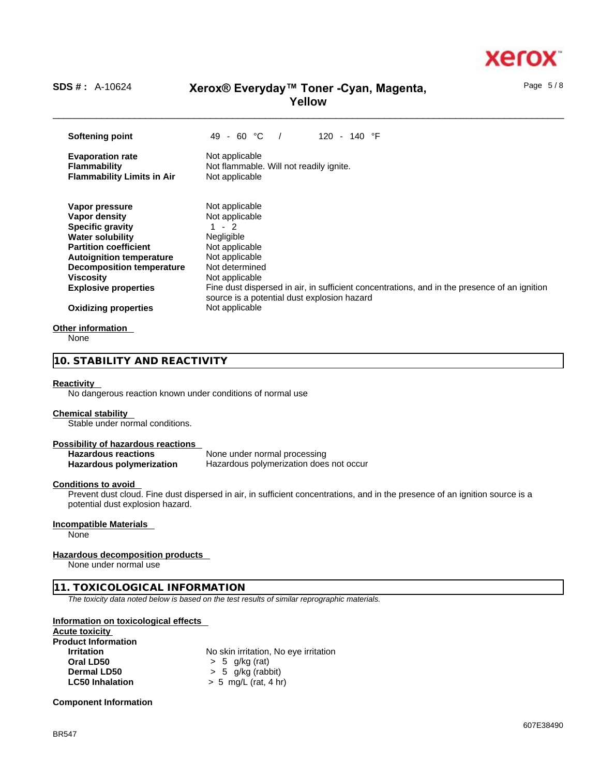

Page 5 / 8

# \_\_\_\_\_\_\_\_\_\_\_\_\_\_\_\_\_\_\_\_\_\_\_\_\_\_\_\_\_\_\_\_\_\_\_\_\_\_\_\_\_\_\_\_\_\_\_\_\_\_\_\_\_\_\_\_\_\_\_\_\_\_\_\_\_\_\_\_\_\_\_\_\_\_\_\_\_\_\_\_\_\_\_\_\_\_\_\_\_\_\_\_\_\_ **SDS # :** A-10624 **Xerox® Everyday™ Toner -Cyan, Magenta, Yellow**

**Softening point** 49 - 60 °C / 120 - 140 °F **Evaporation rate** Not applicable **Flammability** Not flammable. Will not readily ignite.<br>**Flammability Limits in Air** Not applicable **Flammability Limits in Air Vapor pressure** Not applicable **Vapor density Not applicable Specific gravity** 1 - 2<br> **Water solubility** Megligible **Water solubility**<br> **Partition coefficient**<br>
Not applicable **Partition coefficient Autoignition temperature** Not applicable **Decomposition temperature** Not determined **Viscosity Not applicable Explosive properties** Fine dust dispersed in air, in sufficient concentrations, and in the presence of an ignition source is a potential dust explosion hazard **Oxidizing properties** Not applicable

## **Other information**

None

## **10. STABILITY AND REACTIVITY**

#### **Reactivity**

No dangerous reaction known under conditions of normal use

#### **Chemical stability**

Stable under normal conditions.

## **Possibility of hazardous reactions**

**Hazardous reactions**<br> **Hazardous polymerization Hazardous polymerization does Hazardous polymerization does not occur** 

#### **Conditions to avoid**

Prevent dust cloud. Fine dust dispersed in air, in sufficient concentrations, and in the presence of an ignition source is a potential dust explosion hazard.

## **Incompatible Materials**

None

## **Hazardous decomposition products**

None under normal use

## **11. TOXICOLOGICAL INFORMATION**

*The toxicity data noted below is based on the test results of similar reprographic materials.* 

## **Information on toxicological effects**

**Acute toxicity**

| <b>Product Information</b> |                                       |
|----------------------------|---------------------------------------|
| <b>Irritation</b>          | No skin irritation, No eye irritation |
| Oral LD50                  | $> 5$ g/kg (rat)                      |
| Dermal LD50                | $> 5$ g/kg (rabbit)                   |
| <b>LC50 Inhalation</b>     | $> 5$ mg/L (rat, 4 hr)                |
|                            |                                       |

**Component Information**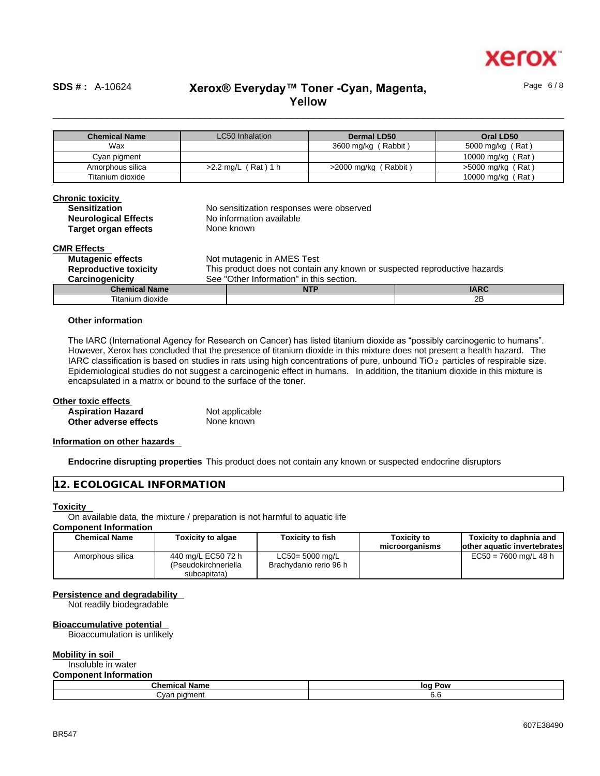

Page 6 / 8

# \_\_\_\_\_\_\_\_\_\_\_\_\_\_\_\_\_\_\_\_\_\_\_\_\_\_\_\_\_\_\_\_\_\_\_\_\_\_\_\_\_\_\_\_\_\_\_\_\_\_\_\_\_\_\_\_\_\_\_\_\_\_\_\_\_\_\_\_\_\_\_\_\_\_\_\_\_\_\_\_\_\_\_\_\_\_\_\_\_\_\_\_\_\_ **SDS # :** A-10624 **Xerox® Everyday™ Toner -Cyan, Magenta, Yellow**

| <b>Chemical Name</b> | LC50 Inhalation       | Dermal LD50             | Oral LD50         |
|----------------------|-----------------------|-------------------------|-------------------|
| Wax                  |                       | 3600 mg/kg (Rabbit)     | 5000 mg/kg (Rat)  |
| Cyan pigment         |                       |                         | 10000 mg/kg (Rat) |
| Amorphous silica     | $>2.2$ ma/L (Rat) 1 h | (Rabbit)<br>>2000 ma/ka | >5000 mg/kg (Rat) |
| Titanium dioxide     |                       |                         | 10000 mg/kg (Rat) |

| <b>Chronic toxicity</b><br><b>Sensitization</b><br><b>Neurological Effects</b><br><b>Target organ effects</b> | No sensitization responses were observed<br>No information available<br>None known |             |
|---------------------------------------------------------------------------------------------------------------|------------------------------------------------------------------------------------|-------------|
| <b>CMR Effects</b>                                                                                            |                                                                                    |             |
| <b>Mutagenic effects</b>                                                                                      | Not mutagenic in AMES Test                                                         |             |
| <b>Reproductive toxicity</b>                                                                                  | This product does not contain any known or suspected reproductive hazards          |             |
| Carcinogenicity                                                                                               | See "Other Information" in this section.                                           |             |
| <b>Chemical Name</b>                                                                                          | <b>NTP</b>                                                                         | <b>IARC</b> |
| Titanium dioxide                                                                                              |                                                                                    | 2Β          |

## **Other information**

The IARC (International Agency for Research on Cancer) has listed titanium dioxide as "possibly carcinogenic to humans". However, Xerox has concluded that the presence of titanium dioxide in this mixture does not present a health hazard. The IARC classification is based on studies in rats using high concentrations of pure, unbound TiO 2 particles of respirable size. Epidemiological studies do not suggest a carcinogenic effect in humans. In addition, the titanium dioxide in this mixture is encapsulated in a matrix or bound to the surface of the toner.

#### **Other toxic effects**

| <b>Aspiration Hazard</b> | Not applicable |
|--------------------------|----------------|
| Other adverse effects    | None known     |

#### **Information on other hazards**

**Endocrine disrupting properties** This product does not contain any known or suspected endocrine disruptors

## **12. ECOLOGICAL INFORMATION**

#### **Toxicity**

On available data, the mixture / preparation is not harmful to aquatic life

## **Component Information**

| <b>Chemical Name</b> | <b>Toxicity to algae</b>                                   | <b>Toxicity to fish</b>                   | <b>Toxicity to</b><br>microorganisms | Toxicity to daphnia and<br>other aquatic invertebrates |
|----------------------|------------------------------------------------------------|-------------------------------------------|--------------------------------------|--------------------------------------------------------|
| Amorphous silica     | 440 mg/L EC50 72 h<br>(Pseudokirchneriella<br>subcapitata) | LC50= 5000 mg/L<br>Brachydanio rerio 96 h |                                      | $EC50 = 7600$ mg/L 48 h                                |

#### **Persistence and degradability**

Not readily biodegradable

## **Bioaccumulative potential**

Bioaccumulation is unlikely

#### **Mobility in soil**

Insoluble in water **Component Information**

| <u>oomponom. mnommation</u> |            |
|-----------------------------|------------|
| ™hom⊪<br>Name<br>Спенкан    | loa<br>Pow |
| nn<br>.                     | v.v        |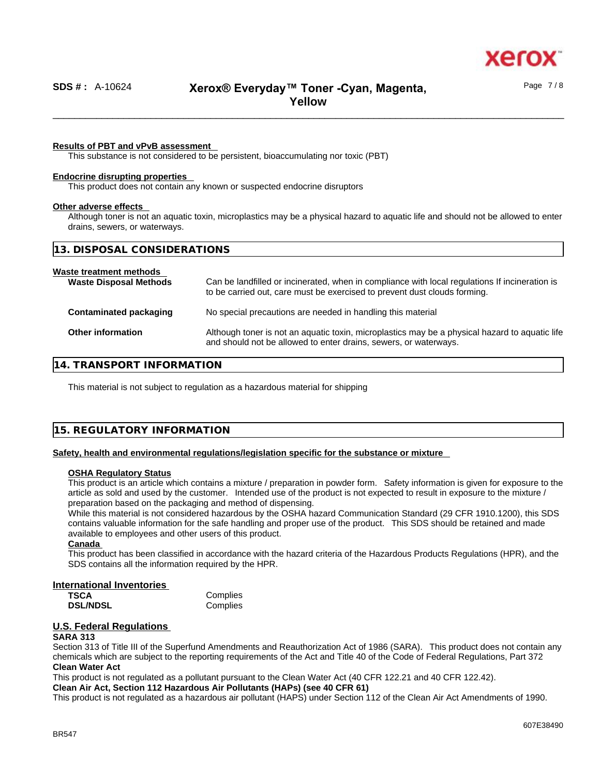

Page 7 / 8

## **Results of PBT and vPvB assessment**

This substance is not considered to be persistent, bioaccumulating nor toxic (PBT)

## **Endocrine disrupting properties**

This product does not contain any known or suspected endocrine disruptors

#### **Other adverse effects**

Although toner is not an aquatic toxin, microplastics may be a physical hazard to aquatic life and should not be allowed to enter drains, sewers, or waterways.

| 13. DISPOSAL CONSIDERATIONS                              |                                                                                                                                                                             |  |
|----------------------------------------------------------|-----------------------------------------------------------------------------------------------------------------------------------------------------------------------------|--|
| Waste treatment methods<br><b>Waste Disposal Methods</b> | Can be landfilled or incinerated, when in compliance with local regulations If incineration is<br>to be carried out, care must be exercised to prevent dust clouds forming. |  |
| <b>Contaminated packaging</b>                            | No special precautions are needed in handling this material                                                                                                                 |  |
| <b>Other information</b>                                 | Although toner is not an aquatic toxin, microplastics may be a physical hazard to aquatic life<br>and should not be allowed to enter drains, sewers, or waterways.          |  |
|                                                          |                                                                                                                                                                             |  |

## **14. TRANSPORT INFORMATION**

This material is not subject to regulation as a hazardous material for shipping

## **15. REGULATORY INFORMATION**

### **Safety, health and environmental regulations/legislation specific for the substance or mixture**

#### **OSHA Regulatory Status**

This product is an article which contains a mixture / preparation in powder form. Safety information is given for exposure to the article as sold and used by the customer. Intended use of the product is not expected to result in exposure to the mixture / preparation based on the packaging and method of dispensing.

While this material is not considered hazardous by the OSHA hazard Communication Standard (29 CFR 1910.1200), this SDS contains valuable information for the safe handling and proper use of the product. This SDS should be retained and made available to employees and other users of this product.

## **Canada**

This product has been classified in accordance with the hazard criteria of the Hazardous Products Regulations (HPR), and the SDS contains all the information required by the HPR.

## **International Inventories**

| TSCA            | Complies |
|-----------------|----------|
| <b>DSL/NDSL</b> | Complies |

## **U.S. Federal Regulations**

## **SARA 313**

Section 313 of Title III of the Superfund Amendments and Reauthorization Act of 1986 (SARA). This product does not contain any chemicals which are subject to the reporting requirements of the Act and Title 40 of the Code of Federal Regulations, Part 372 **Clean Water Act**

This product is not regulated as a pollutant pursuant to the Clean Water Act (40 CFR 122.21 and 40 CFR 122.42).

**Clean Air Act,Section 112 Hazardous Air Pollutants (HAPs) (see 40 CFR 61)**

This product is not regulated as a hazardous air pollutant (HAPS) under Section 112 of the Clean Air Act Amendments of 1990.